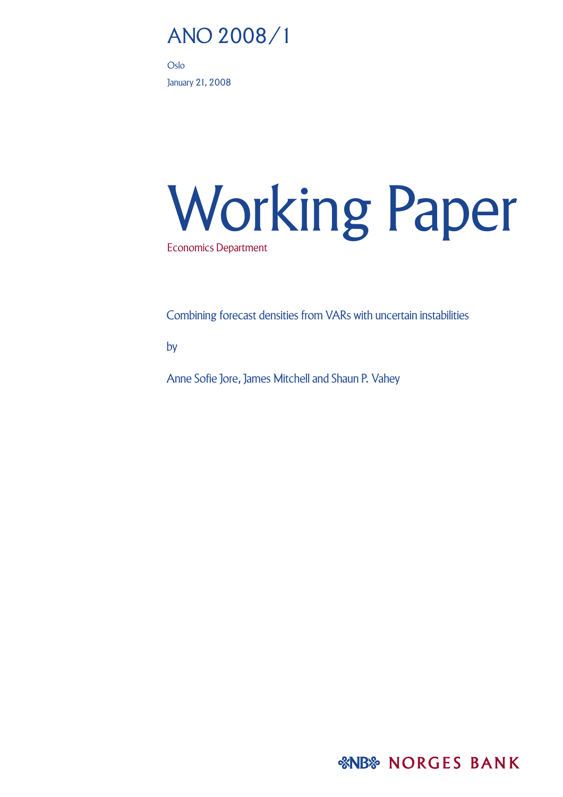# ANO 2008/1

Oslo January 21, 2008

# Working Paper Economics Department

Combining forecast densities from VARs with uncertain instabilities

by

Anne Sofie Jore, James Mitchell and Shaun P. Vahey

*&NB& NORGES BANK*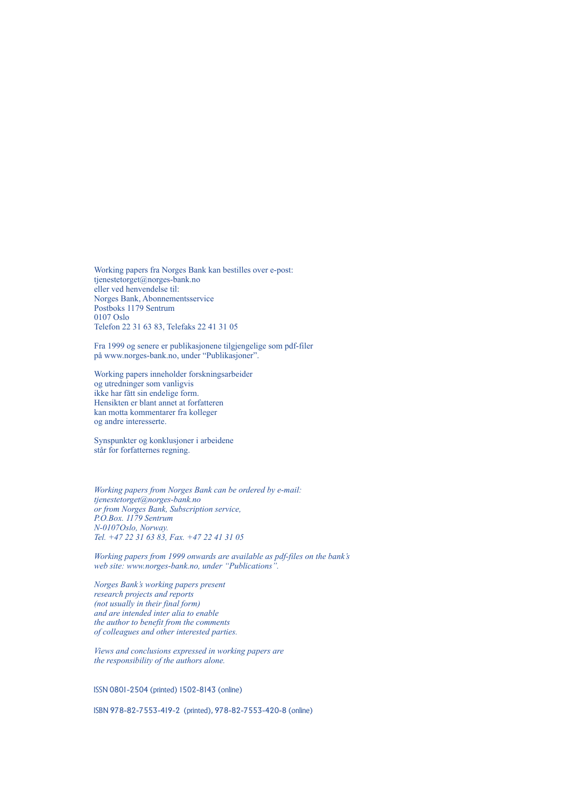Working papers fra Norges Bank kan bestilles over e-post: tjenestetorget@norges-bank.no eller ved henvendelse til: Norges Bank, Abonnementsservice Postboks 1179 Sentrum 0107 Oslo Telefon 22 31 63 83, Telefaks 22 41 31 05

Fra 1999 og senere er publikasjonene tilgjengelige som pdf-filer på www.norges-bank.no, under "Publikasjoner".

Working papers inneholder forskningsarbeider og utredninger som vanligvis ikke har fått sin endelige form. Hensikten er blant annet at forfatteren kan motta kommentarer fra kolleger og andre interesserte.

Synspunkter og konklusjoner i arbeidene står for forfatternes regning.

*Working papers from Norges Bank can be ordered by e-mail: tjenestetorget@norges-bank.no or from Norges Bank, Subscription service, P.O.Box. 1179 Sentrum N-0107Oslo, Norway. Tel. +47 22 31 63 83, Fax. +47 22 41 31 05*

*Working papers from 1999 onwards are available as pdf-files on the bank's web site: www.norges-bank.no, under "Publications".*

*Norges Bank's working papers present research projects and reports (not usually in their final form) and are intended inter alia to enable the author to benefit from the comments of colleagues and other interested parties.*

*Views and conclusions expressed in working papers are the responsibility of the authors alone.*

ISSN 0801-2504 (printed) 1502-8143 (online)

ISBN 978-82-7553-419-2 (printed), 978-82-7553-420-8 (online)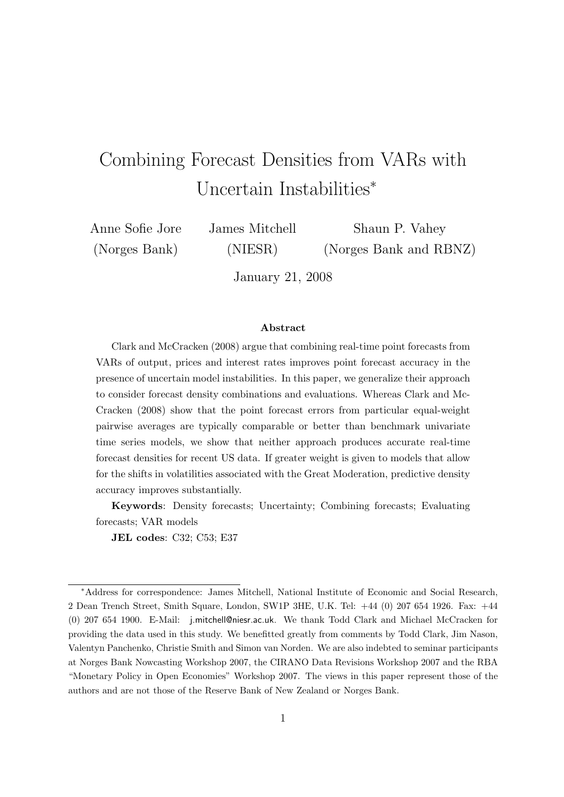# Combining Forecast Densities from VARs with Uncertain Instabilities<sup>∗</sup>

Anne Sofie Jore (Norges Bank)

James Mitchell (NIESR)

Shaun P. Vahey (Norges Bank and RBNZ)

January 21, 2008

#### Abstract

Clark and McCracken (2008) argue that combining real-time point forecasts from VARs of output, prices and interest rates improves point forecast accuracy in the presence of uncertain model instabilities. In this paper, we generalize their approach to consider forecast density combinations and evaluations. Whereas Clark and Mc-Cracken (2008) show that the point forecast errors from particular equal-weight pairwise averages are typically comparable or better than benchmark univariate time series models, we show that neither approach produces accurate real-time forecast densities for recent US data. If greater weight is given to models that allow for the shifts in volatilities associated with the Great Moderation, predictive density accuracy improves substantially.

Keywords: Density forecasts; Uncertainty; Combining forecasts; Evaluating forecasts; VAR models

JEL codes: C32; C53; E37

<span id="page-2-0"></span><sup>∗</sup>Address for correspondence: James Mitchell, National Institute of Economic and Social Research, 2 Dean Trench Street, Smith Square, London, SW1P 3HE, U.K. Tel: +44 (0) 207 654 1926. Fax: +44 (0) 207 654 1900. E-Mail: j.mitchell@niesr.ac.uk. We thank Todd Clark and Michael McCracken for providing the data used in this study. We benefitted greatly from comments by Todd Clark, Jim Nason, Valentyn Panchenko, Christie Smith and Simon van Norden. We are also indebted to seminar participants at Norges Bank Nowcasting Workshop 2007, the CIRANO Data Revisions Workshop 2007 and the RBA "Monetary Policy in Open Economies" Workshop 2007. The views in this paper represent those of the authors and are not those of the Reserve Bank of New Zealand or Norges Bank.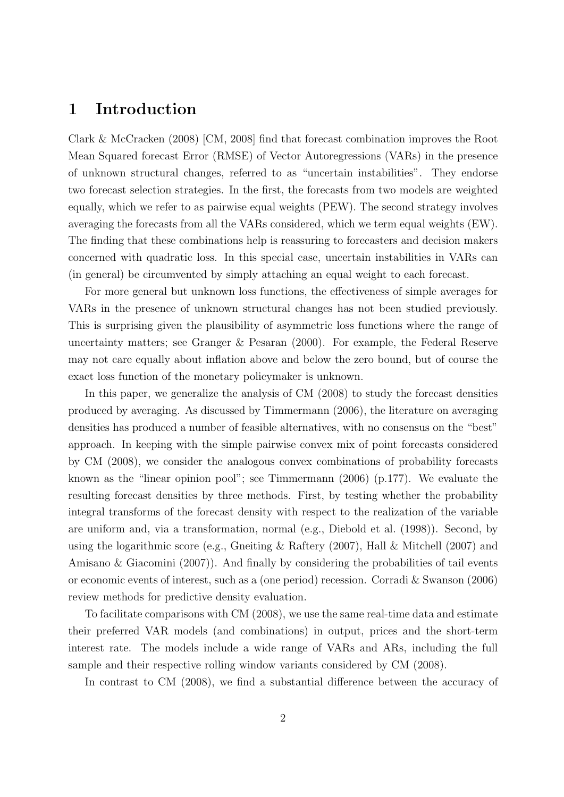## 1 Introduction

Clark & McCracken (2008) [CM, 2008] find that forecast combination improves the Root Mean Squared forecast Error (RMSE) of Vector Autoregressions (VARs) in the presence of unknown structural changes, referred to as "uncertain instabilities". They endorse two forecast selection strategies. In the first, the forecasts from two models are weighted equally, which we refer to as pairwise equal weights (PEW). The second strategy involves averaging the forecasts from all the VARs considered, which we term equal weights (EW). The finding that these combinations help is reassuring to forecasters and decision makers concerned with quadratic loss. In this special case, uncertain instabilities in VARs can (in general) be circumvented by simply attaching an equal weight to each forecast.

For more general but unknown loss functions, the effectiveness of simple averages for VARs in the presence of unknown structural changes has not been studied previously. This is surprising given the plausibility of asymmetric loss functions where the range of uncertainty matters; see Granger & Pesaran (2000). For example, the Federal Reserve may not care equally about inflation above and below the zero bound, but of course the exact loss function of the monetary policymaker is unknown.

In this paper, we generalize the analysis of CM (2008) to study the forecast densities produced by averaging. As discussed by Timmermann (2006), the literature on averaging densities has produced a number of feasible alternatives, with no consensus on the "best" approach. In keeping with the simple pairwise convex mix of point forecasts considered by CM (2008), we consider the analogous convex combinations of probability forecasts known as the "linear opinion pool"; see Timmermann (2006) (p.177). We evaluate the resulting forecast densities by three methods. First, by testing whether the probability integral transforms of the forecast density with respect to the realization of the variable are uniform and, via a transformation, normal (e.g., Diebold et al. (1998)). Second, by using the logarithmic score (e.g., Gneiting & Raftery  $(2007)$ , Hall & Mitchell  $(2007)$  and Amisano & Giacomini (2007)). And finally by considering the probabilities of tail events or economic events of interest, such as a (one period) recession. Corradi & Swanson (2006) review methods for predictive density evaluation.

To facilitate comparisons with CM (2008), we use the same real-time data and estimate their preferred VAR models (and combinations) in output, prices and the short-term interest rate. The models include a wide range of VARs and ARs, including the full sample and their respective rolling window variants considered by CM (2008).

In contrast to CM (2008), we find a substantial difference between the accuracy of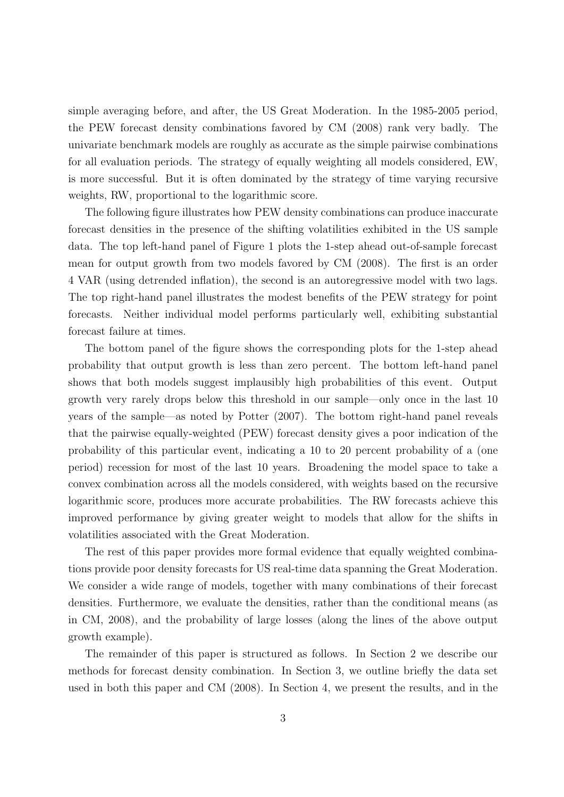simple averaging before, and after, the US Great Moderation. In the 1985-2005 period, the PEW forecast density combinations favored by CM (2008) rank very badly. The univariate benchmark models are roughly as accurate as the simple pairwise combinations for all evaluation periods. The strategy of equally weighting all models considered, EW, is more successful. But it is often dominated by the strategy of time varying recursive weights, RW, proportional to the logarithmic score.

The following figure illustrates how PEW density combinations can produce inaccurate forecast densities in the presence of the shifting volatilities exhibited in the US sample data. The top left-hand panel of Figure 1 plots the 1-step ahead out-of-sample forecast mean for output growth from two models favored by CM (2008). The first is an order 4 VAR (using detrended inflation), the second is an autoregressive model with two lags. The top right-hand panel illustrates the modest benefits of the PEW strategy for point forecasts. Neither individual model performs particularly well, exhibiting substantial forecast failure at times.

The bottom panel of the figure shows the corresponding plots for the 1-step ahead probability that output growth is less than zero percent. The bottom left-hand panel shows that both models suggest implausibly high probabilities of this event. Output growth very rarely drops below this threshold in our sample—only once in the last 10 years of the sample—as noted by Potter (2007). The bottom right-hand panel reveals that the pairwise equally-weighted (PEW) forecast density gives a poor indication of the probability of this particular event, indicating a 10 to 20 percent probability of a (one period) recession for most of the last 10 years. Broadening the model space to take a convex combination across all the models considered, with weights based on the recursive logarithmic score, produces more accurate probabilities. The RW forecasts achieve this improved performance by giving greater weight to models that allow for the shifts in volatilities associated with the Great Moderation.

The rest of this paper provides more formal evidence that equally weighted combinations provide poor density forecasts for US real-time data spanning the Great Moderation. We consider a wide range of models, together with many combinations of their forecast densities. Furthermore, we evaluate the densities, rather than the conditional means (as in CM, 2008), and the probability of large losses (along the lines of the above output growth example).

The remainder of this paper is structured as follows. In Section 2 we describe our methods for forecast density combination. In Section 3, we outline briefly the data set used in both this paper and CM (2008). In Section 4, we present the results, and in the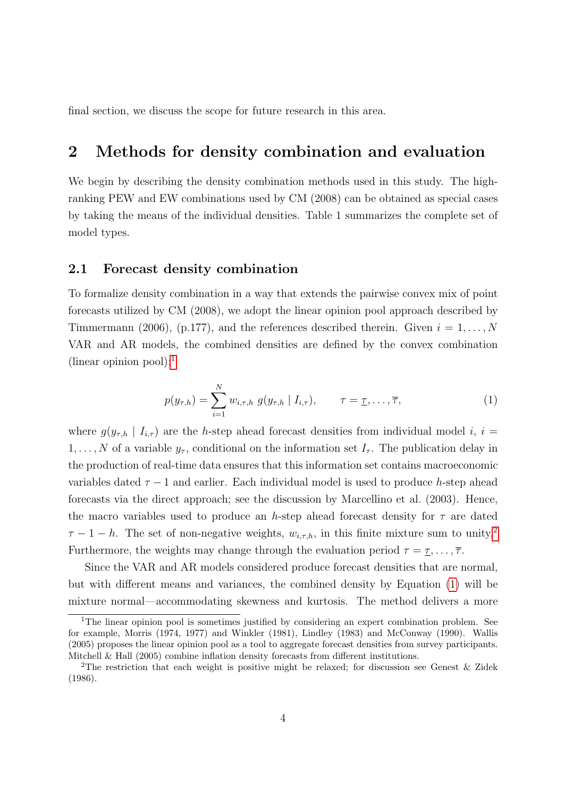final section, we discuss the scope for future research in this area.

# 2 Methods for density combination and evaluation

We begin by describing the density combination methods used in this study. The highranking PEW and EW combinations used by CM (2008) can be obtained as special cases by taking the means of the individual densities. Table 1 summarizes the complete set of model types.

#### 2.1 Forecast density combination

To formalize density combination in a way that extends the pairwise convex mix of point forecasts utilized by CM (2008), we adopt the linear opinion pool approach described by Timmermann (2006), (p.177), and the references described therein. Given  $i = 1, \ldots, N$ VAR and AR models, the combined densities are defined by the convex combination (linear opinion pool):

$$
p(y_{\tau,h}) = \sum_{i=1}^{N} w_{i,\tau,h} g(y_{\tau,h} | I_{i,\tau}), \qquad \tau = \underline{\tau}, \ldots, \overline{\tau},
$$
 (1)

<span id="page-5-0"></span>where  $g(y_{\tau,h} | I_{i,\tau})$  are the h-step ahead forecast densities from individual model i,  $i =$  $1, \ldots, N$  of a variable  $y_{\tau}$ , conditional on the information set  $I_{\tau}$ . The publication delay in the production of real-time data ensures that this information set contains macroeconomic variables dated  $\tau - 1$  and earlier. Each individual model is used to produce h-step ahead forecasts via the direct approach; see the discussion by Marcellino et al. (2003). Hence, the macro variables used to produce an h-step ahead forecast density for  $\tau$  are dated  $\tau - 1 - h$ . The set of non-negative weights,  $w_{i,\tau,h}$ , in this finite mixture sum to unity.<sup>[2](#page-2-0)</sup> Furthermore, the weights may change through the evaluation period  $\tau = \tau, \ldots, \overline{\tau}$ .

Since the VAR and AR models considered produce forecast densities that are normal, but with different means and variances, the combined density by Equation [\(1\)](#page-5-0) will be mixture normal—accommodating skewness and kurtosis. The method delivers a more

<sup>&</sup>lt;sup>1</sup>The linear opinion pool is sometimes justified by considering an expert combination problem. See for example, Morris (1974, 1977) and Winkler (1981), Lindley (1983) and McConway (1990). Wallis (2005) proposes the linear opinion pool as a tool to aggregate forecast densities from survey participants. Mitchell & Hall (2005) combine inflation density forecasts from different institutions.

<sup>2</sup>The restriction that each weight is positive might be relaxed; for discussion see Genest & Zidek (1986).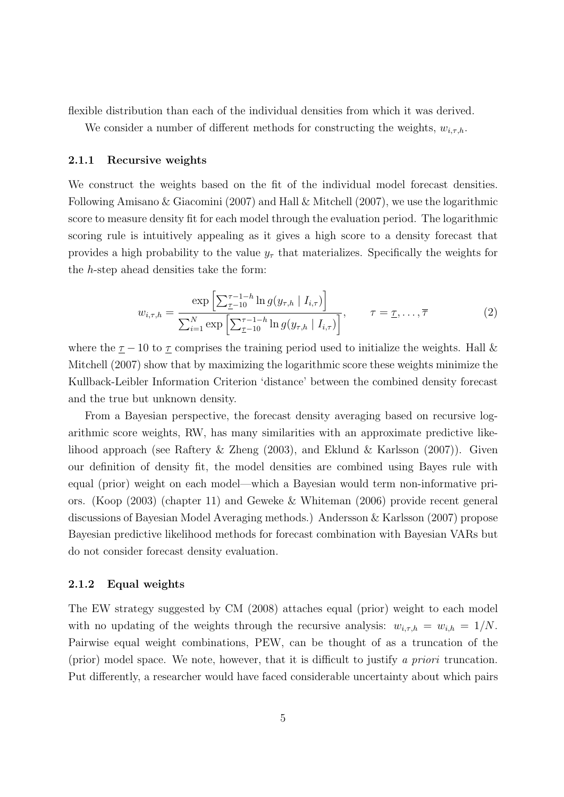flexible distribution than each of the individual densities from which it was derived.

We consider a number of different methods for constructing the weights,  $w_{i,\tau,h}$ .

#### 2.1.1 Recursive weights

We construct the weights based on the fit of the individual model forecast densities. Following Amisano & Giacomini (2007) and Hall & Mitchell (2007), we use the logarithmic score to measure density fit for each model through the evaluation period. The logarithmic scoring rule is intuitively appealing as it gives a high score to a density forecast that provides a high probability to the value  $y<sub>\tau</sub>$  that materializes. Specifically the weights for the h-step ahead densities take the form:

$$
w_{i,\tau,h} = \frac{\exp\left[\sum_{\tau-1}^{\tau-1-h} \ln g(y_{\tau,h} \mid I_{i,\tau})\right]}{\sum_{i=1}^{N} \exp\left[\sum_{\tau-10}^{\tau-1-h} \ln g(y_{\tau,h} \mid I_{i,\tau})\right]}, \qquad \tau = \underline{\tau}, \dots, \overline{\tau}
$$
(2)

where the  $\tau$  − 10 to  $\tau$  comprises the training period used to initialize the weights. Hall & Mitchell (2007) show that by maximizing the logarithmic score these weights minimize the Kullback-Leibler Information Criterion 'distance' between the combined density forecast and the true but unknown density.

From a Bayesian perspective, the forecast density averaging based on recursive logarithmic score weights, RW, has many similarities with an approximate predictive likelihood approach (see Raftery & Zheng (2003), and Eklund & Karlsson (2007)). Given our definition of density fit, the model densities are combined using Bayes rule with equal (prior) weight on each model—which a Bayesian would term non-informative priors. (Koop (2003) (chapter 11) and Geweke & Whiteman (2006) provide recent general discussions of Bayesian Model Averaging methods.) Andersson & Karlsson (2007) propose Bayesian predictive likelihood methods for forecast combination with Bayesian VARs but do not consider forecast density evaluation.

#### 2.1.2 Equal weights

The EW strategy suggested by CM (2008) attaches equal (prior) weight to each model with no updating of the weights through the recursive analysis:  $w_{i,\tau,h} = w_{i,h} = 1/N$ . Pairwise equal weight combinations, PEW, can be thought of as a truncation of the (prior) model space. We note, however, that it is difficult to justify *a priori* truncation. Put differently, a researcher would have faced considerable uncertainty about which pairs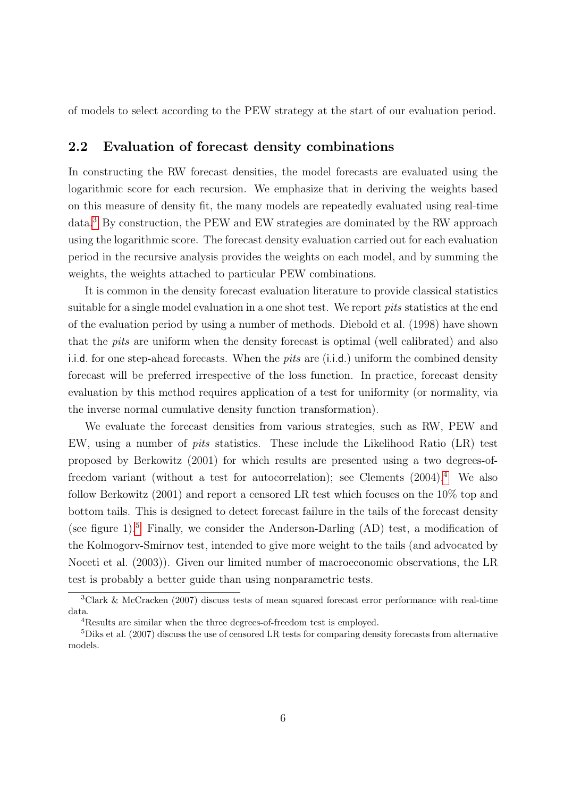of models to select according to the PEW strategy at the start of our evaluation period.

#### 2.2 Evaluation of forecast density combinations

In constructing the RW forecast densities, the model forecasts are evaluated using the logarithmic score for each recursion. We emphasize that in deriving the weights based on this measure of density fit, the many models are repeatedly evaluated using real-time data.[3](#page-2-0) By construction, the PEW and EW strategies are dominated by the RW approach using the logarithmic score. The forecast density evaluation carried out for each evaluation period in the recursive analysis provides the weights on each model, and by summing the weights, the weights attached to particular PEW combinations.

It is common in the density forecast evaluation literature to provide classical statistics suitable for a single model evaluation in a one shot test. We report *pits* statistics at the end of the evaluation period by using a number of methods. Diebold et al. (1998) have shown that the *pits* are uniform when the density forecast is optimal (well calibrated) and also i.i.d. for one step-ahead forecasts. When the *pits* are (i.i.d.) uniform the combined density forecast will be preferred irrespective of the loss function. In practice, forecast density evaluation by this method requires application of a test for uniformity (or normality, via the inverse normal cumulative density function transformation).

We evaluate the forecast densities from various strategies, such as RW, PEW and EW, using a number of *pits* statistics. These include the Likelihood Ratio (LR) test proposed by Berkowitz (2001) for which results are presented using a two degrees-offreedom variant (without a test for autocorrelation); see Clements (2004).[4](#page-2-0) We also follow Berkowitz (2001) and report a censored LR test which focuses on the 10% top and bottom tails. This is designed to detect forecast failure in the tails of the forecast density (see figure 1).<sup>[5](#page-2-0)</sup> Finally, we consider the Anderson-Darling  $(AD)$  test, a modification of the Kolmogorv-Smirnov test, intended to give more weight to the tails (and advocated by Noceti et al. (2003)). Given our limited number of macroeconomic observations, the LR test is probably a better guide than using nonparametric tests.

<sup>3</sup>Clark & McCracken (2007) discuss tests of mean squared forecast error performance with real-time data.

<sup>4</sup>Results are similar when the three degrees-of-freedom test is employed.

<sup>5</sup>Diks et al. (2007) discuss the use of censored LR tests for comparing density forecasts from alternative models.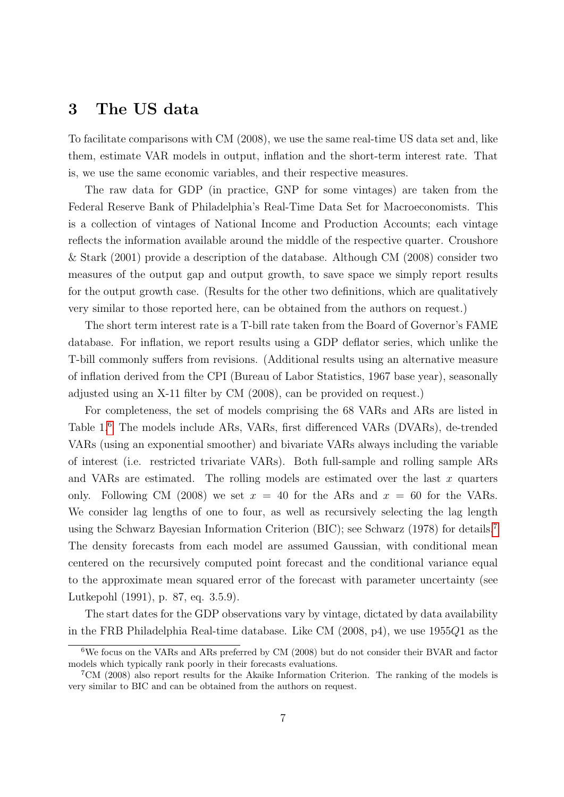### 3 The US data

To facilitate comparisons with CM (2008), we use the same real-time US data set and, like them, estimate VAR models in output, inflation and the short-term interest rate. That is, we use the same economic variables, and their respective measures.

The raw data for GDP (in practice, GNP for some vintages) are taken from the Federal Reserve Bank of Philadelphia's Real-Time Data Set for Macroeconomists. This is a collection of vintages of National Income and Production Accounts; each vintage reflects the information available around the middle of the respective quarter. Croushore & Stark (2001) provide a description of the database. Although CM (2008) consider two measures of the output gap and output growth, to save space we simply report results for the output growth case. (Results for the other two definitions, which are qualitatively very similar to those reported here, can be obtained from the authors on request.)

The short term interest rate is a T-bill rate taken from the Board of Governor's FAME database. For inflation, we report results using a GDP deflator series, which unlike the T-bill commonly suffers from revisions. (Additional results using an alternative measure of inflation derived from the CPI (Bureau of Labor Statistics, 1967 base year), seasonally adjusted using an X-11 filter by CM (2008), can be provided on request.)

For completeness, the set of models comprising the 68 VARs and ARs are listed in Table 1.<sup>[6](#page-2-0)</sup> The models include ARs, VARs, first differenced VARs (DVARs), de-trended VARs (using an exponential smoother) and bivariate VARs always including the variable of interest (i.e. restricted trivariate VARs). Both full-sample and rolling sample ARs and VARs are estimated. The rolling models are estimated over the last  $x$  quarters only. Following CM (2008) we set  $x = 40$  for the ARs and  $x = 60$  for the VARs. We consider lag lengths of one to four, as well as recursively selecting the lag length using the Schwarz Bayesian Information Criterion (BIC); see Schwarz (1978) for details.[7](#page-2-0) The density forecasts from each model are assumed Gaussian, with conditional mean centered on the recursively computed point forecast and the conditional variance equal to the approximate mean squared error of the forecast with parameter uncertainty (see Lutkepohl (1991), p. 87, eq. 3.5.9).

The start dates for the GDP observations vary by vintage, dictated by data availability in the FRB Philadelphia Real-time database. Like CM (2008, p4), we use 1955Q1 as the

<sup>6</sup>We focus on the VARs and ARs preferred by CM (2008) but do not consider their BVAR and factor models which typically rank poorly in their forecasts evaluations.

<sup>7</sup>CM (2008) also report results for the Akaike Information Criterion. The ranking of the models is very similar to BIC and can be obtained from the authors on request.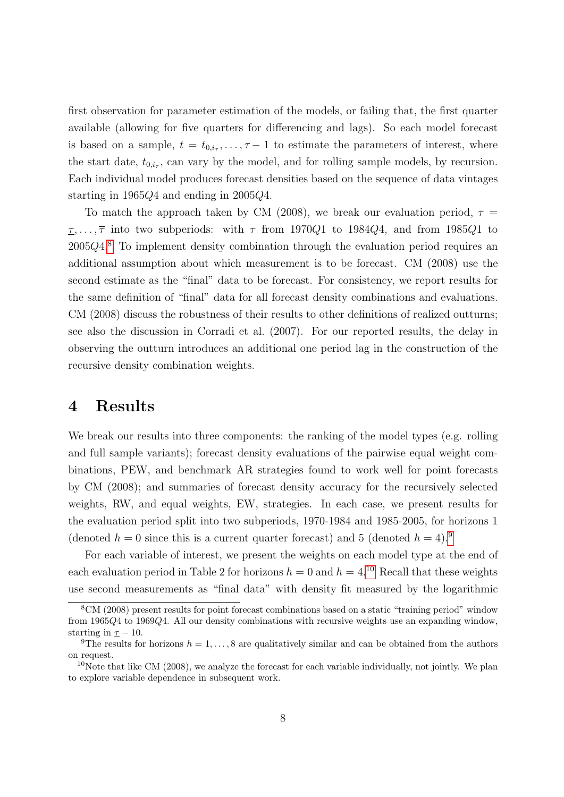first observation for parameter estimation of the models, or failing that, the first quarter available (allowing for five quarters for differencing and lags). So each model forecast is based on a sample,  $t = t_{0,i_{\tau}}, \ldots, \tau-1$  to estimate the parameters of interest, where the start date,  $t_{0,i_{\tau}}$ , can vary by the model, and for rolling sample models, by recursion. Each individual model produces forecast densities based on the sequence of data vintages starting in 1965Q4 and ending in 2005Q4.

To match the approach taken by CM (2008), we break our evaluation period,  $\tau =$  $\underline{\tau}, \ldots, \overline{\tau}$  into two subperiods: with  $\tau$  from 1970Q1 to 1984Q4, and from 1985Q1 to 2005Q4.[8](#page-2-0) To implement density combination through the evaluation period requires an additional assumption about which measurement is to be forecast. CM (2008) use the second estimate as the "final" data to be forecast. For consistency, we report results for the same definition of "final" data for all forecast density combinations and evaluations. CM (2008) discuss the robustness of their results to other definitions of realized outturns; see also the discussion in Corradi et al. (2007). For our reported results, the delay in observing the outturn introduces an additional one period lag in the construction of the recursive density combination weights.

# 4 Results

We break our results into three components: the ranking of the model types (e.g. rolling and full sample variants); forecast density evaluations of the pairwise equal weight combinations, PEW, and benchmark AR strategies found to work well for point forecasts by CM (2008); and summaries of forecast density accuracy for the recursively selected weights, RW, and equal weights, EW, strategies. In each case, we present results for the evaluation period split into two subperiods, 1970-1984 and 1985-2005, for horizons 1 (denoted  $h = 0$  since this is a current quarter forecast) and 5 (denoted  $h = 4$ ).<sup>[9](#page-2-0)</sup>

For each variable of interest, we present the weights on each model type at the end of each evaluation period in Table 2 for horizons  $h = 0$  and  $h = 4$ .<sup>[10](#page-2-0)</sup> Recall that these weights use second measurements as "final data" with density fit measured by the logarithmic

<sup>8</sup>CM (2008) present results for point forecast combinations based on a static "training period" window from 1965Q4 to 1969Q4. All our density combinations with recursive weights use an expanding window, starting in  $\underline{\tau}$  − 10.

<sup>&</sup>lt;sup>9</sup>The results for horizons  $h = 1, ..., 8$  are qualitatively similar and can be obtained from the authors on request.

 $10$ Note that like CM (2008), we analyze the forecast for each variable individually, not jointly. We plan to explore variable dependence in subsequent work.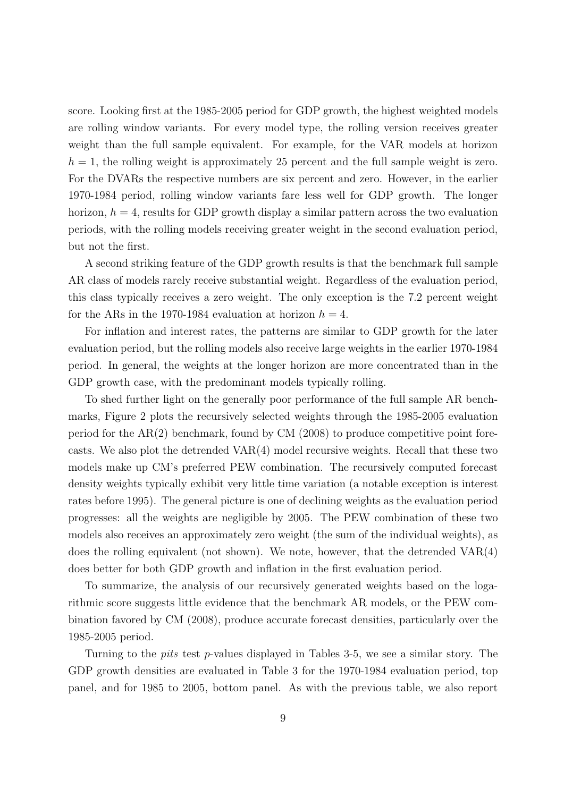score. Looking first at the 1985-2005 period for GDP growth, the highest weighted models are rolling window variants. For every model type, the rolling version receives greater weight than the full sample equivalent. For example, for the VAR models at horizon  $h = 1$ , the rolling weight is approximately 25 percent and the full sample weight is zero. For the DVARs the respective numbers are six percent and zero. However, in the earlier 1970-1984 period, rolling window variants fare less well for GDP growth. The longer horizon,  $h = 4$ , results for GDP growth display a similar pattern across the two evaluation periods, with the rolling models receiving greater weight in the second evaluation period, but not the first.

A second striking feature of the GDP growth results is that the benchmark full sample AR class of models rarely receive substantial weight. Regardless of the evaluation period, this class typically receives a zero weight. The only exception is the 7.2 percent weight for the ARs in the 1970-1984 evaluation at horizon  $h = 4$ .

For inflation and interest rates, the patterns are similar to GDP growth for the later evaluation period, but the rolling models also receive large weights in the earlier 1970-1984 period. In general, the weights at the longer horizon are more concentrated than in the GDP growth case, with the predominant models typically rolling.

To shed further light on the generally poor performance of the full sample AR benchmarks, Figure 2 plots the recursively selected weights through the 1985-2005 evaluation period for the AR(2) benchmark, found by CM (2008) to produce competitive point forecasts. We also plot the detrended VAR(4) model recursive weights. Recall that these two models make up CM's preferred PEW combination. The recursively computed forecast density weights typically exhibit very little time variation (a notable exception is interest rates before 1995). The general picture is one of declining weights as the evaluation period progresses: all the weights are negligible by 2005. The PEW combination of these two models also receives an approximately zero weight (the sum of the individual weights), as does the rolling equivalent (not shown). We note, however, that the detrended VAR(4) does better for both GDP growth and inflation in the first evaluation period.

To summarize, the analysis of our recursively generated weights based on the logarithmic score suggests little evidence that the benchmark AR models, or the PEW combination favored by CM (2008), produce accurate forecast densities, particularly over the 1985-2005 period.

Turning to the *pits* test p-values displayed in Tables 3-5, we see a similar story. The GDP growth densities are evaluated in Table 3 for the 1970-1984 evaluation period, top panel, and for 1985 to 2005, bottom panel. As with the previous table, we also report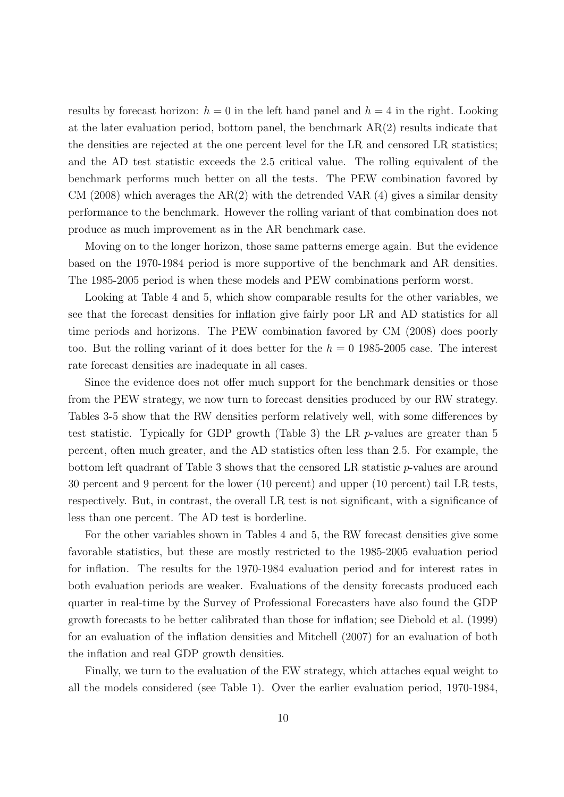results by forecast horizon:  $h = 0$  in the left hand panel and  $h = 4$  in the right. Looking at the later evaluation period, bottom panel, the benchmark  $AR(2)$  results indicate that the densities are rejected at the one percent level for the LR and censored LR statistics; and the AD test statistic exceeds the 2.5 critical value. The rolling equivalent of the benchmark performs much better on all the tests. The PEW combination favored by CM (2008) which averages the  $AR(2)$  with the detrended VAR (4) gives a similar density performance to the benchmark. However the rolling variant of that combination does not produce as much improvement as in the AR benchmark case.

Moving on to the longer horizon, those same patterns emerge again. But the evidence based on the 1970-1984 period is more supportive of the benchmark and AR densities. The 1985-2005 period is when these models and PEW combinations perform worst.

Looking at Table 4 and 5, which show comparable results for the other variables, we see that the forecast densities for inflation give fairly poor LR and AD statistics for all time periods and horizons. The PEW combination favored by CM (2008) does poorly too. But the rolling variant of it does better for the  $h = 0$  1985-2005 case. The interest rate forecast densities are inadequate in all cases.

Since the evidence does not offer much support for the benchmark densities or those from the PEW strategy, we now turn to forecast densities produced by our RW strategy. Tables 3-5 show that the RW densities perform relatively well, with some differences by test statistic. Typically for GDP growth (Table 3) the LR p-values are greater than 5 percent, often much greater, and the AD statistics often less than 2.5. For example, the bottom left quadrant of Table 3 shows that the censored LR statistic p-values are around 30 percent and 9 percent for the lower (10 percent) and upper (10 percent) tail LR tests, respectively. But, in contrast, the overall LR test is not significant, with a significance of less than one percent. The AD test is borderline.

For the other variables shown in Tables 4 and 5, the RW forecast densities give some favorable statistics, but these are mostly restricted to the 1985-2005 evaluation period for inflation. The results for the 1970-1984 evaluation period and for interest rates in both evaluation periods are weaker. Evaluations of the density forecasts produced each quarter in real-time by the Survey of Professional Forecasters have also found the GDP growth forecasts to be better calibrated than those for inflation; see Diebold et al. (1999) for an evaluation of the inflation densities and Mitchell (2007) for an evaluation of both the inflation and real GDP growth densities.

Finally, we turn to the evaluation of the EW strategy, which attaches equal weight to all the models considered (see Table 1). Over the earlier evaluation period, 1970-1984,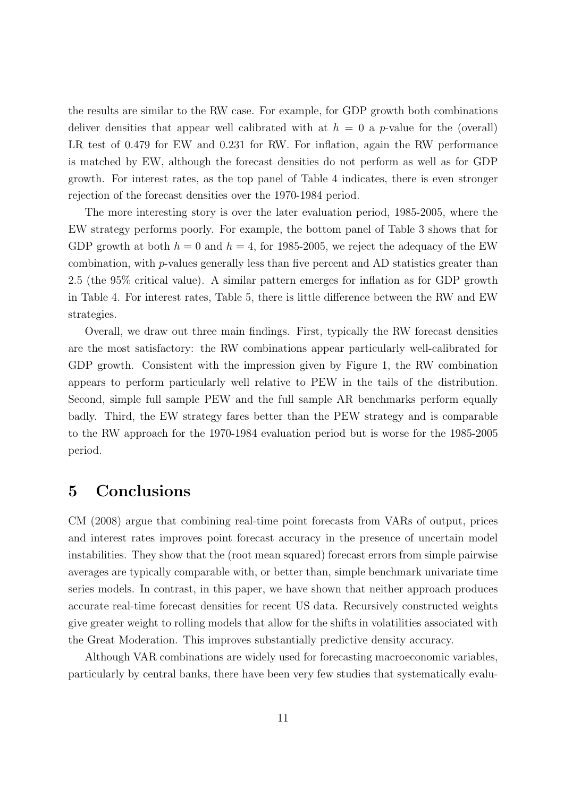the results are similar to the RW case. For example, for GDP growth both combinations deliver densities that appear well calibrated with at  $h = 0$  a p-value for the (overall) LR test of 0.479 for EW and 0.231 for RW. For inflation, again the RW performance is matched by EW, although the forecast densities do not perform as well as for GDP growth. For interest rates, as the top panel of Table 4 indicates, there is even stronger rejection of the forecast densities over the 1970-1984 period.

The more interesting story is over the later evaluation period, 1985-2005, where the EW strategy performs poorly. For example, the bottom panel of Table 3 shows that for GDP growth at both  $h = 0$  and  $h = 4$ , for 1985-2005, we reject the adequacy of the EW combination, with p-values generally less than five percent and AD statistics greater than 2.5 (the 95% critical value). A similar pattern emerges for inflation as for GDP growth in Table 4. For interest rates, Table 5, there is little difference between the RW and EW strategies.

Overall, we draw out three main findings. First, typically the RW forecast densities are the most satisfactory: the RW combinations appear particularly well-calibrated for GDP growth. Consistent with the impression given by Figure 1, the RW combination appears to perform particularly well relative to PEW in the tails of the distribution. Second, simple full sample PEW and the full sample AR benchmarks perform equally badly. Third, the EW strategy fares better than the PEW strategy and is comparable to the RW approach for the 1970-1984 evaluation period but is worse for the 1985-2005 period.

# 5 Conclusions

CM (2008) argue that combining real-time point forecasts from VARs of output, prices and interest rates improves point forecast accuracy in the presence of uncertain model instabilities. They show that the (root mean squared) forecast errors from simple pairwise averages are typically comparable with, or better than, simple benchmark univariate time series models. In contrast, in this paper, we have shown that neither approach produces accurate real-time forecast densities for recent US data. Recursively constructed weights give greater weight to rolling models that allow for the shifts in volatilities associated with the Great Moderation. This improves substantially predictive density accuracy.

Although VAR combinations are widely used for forecasting macroeconomic variables, particularly by central banks, there have been very few studies that systematically evalu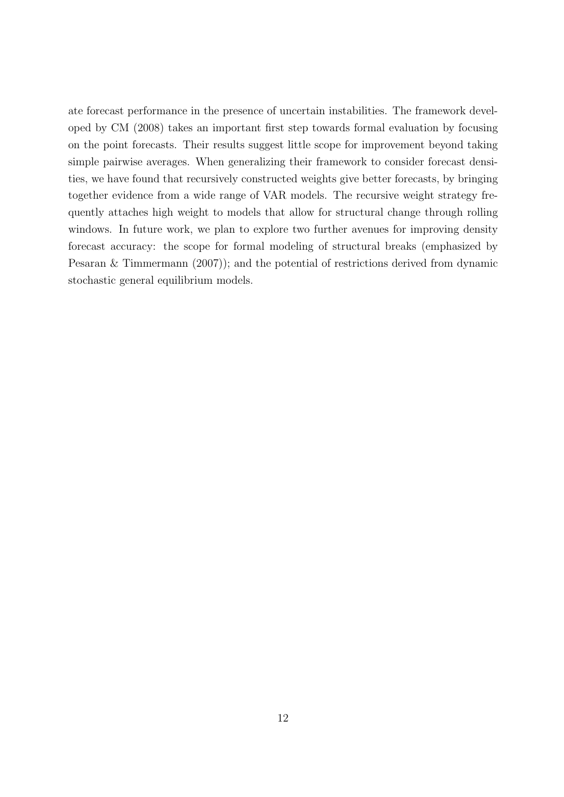ate forecast performance in the presence of uncertain instabilities. The framework developed by CM (2008) takes an important first step towards formal evaluation by focusing on the point forecasts. Their results suggest little scope for improvement beyond taking simple pairwise averages. When generalizing their framework to consider forecast densities, we have found that recursively constructed weights give better forecasts, by bringing together evidence from a wide range of VAR models. The recursive weight strategy frequently attaches high weight to models that allow for structural change through rolling windows. In future work, we plan to explore two further avenues for improving density forecast accuracy: the scope for formal modeling of structural breaks (emphasized by Pesaran & Timmermann (2007)); and the potential of restrictions derived from dynamic stochastic general equilibrium models.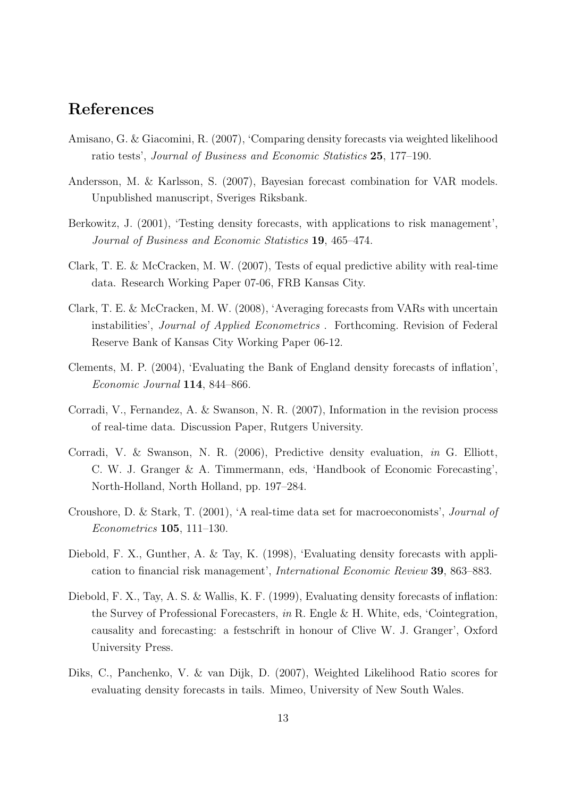# References

- Amisano, G. & Giacomini, R. (2007), 'Comparing density forecasts via weighted likelihood ratio tests', *Journal of Business and Economic Statistics* 25, 177–190.
- Andersson, M. & Karlsson, S. (2007), Bayesian forecast combination for VAR models. Unpublished manuscript, Sveriges Riksbank.
- Berkowitz, J. (2001), 'Testing density forecasts, with applications to risk management', *Journal of Business and Economic Statistics* 19, 465–474.
- Clark, T. E. & McCracken, M. W. (2007), Tests of equal predictive ability with real-time data. Research Working Paper 07-06, FRB Kansas City.
- Clark, T. E. & McCracken, M. W. (2008), 'Averaging forecasts from VARs with uncertain instabilities', *Journal of Applied Econometrics* . Forthcoming. Revision of Federal Reserve Bank of Kansas City Working Paper 06-12.
- Clements, M. P. (2004), 'Evaluating the Bank of England density forecasts of inflation', *Economic Journal* 114, 844–866.
- Corradi, V., Fernandez, A. & Swanson, N. R. (2007), Information in the revision process of real-time data. Discussion Paper, Rutgers University.
- Corradi, V. & Swanson, N. R. (2006), Predictive density evaluation, *in* G. Elliott, C. W. J. Granger & A. Timmermann, eds, 'Handbook of Economic Forecasting', North-Holland, North Holland, pp. 197–284.
- Croushore, D. & Stark, T. (2001), 'A real-time data set for macroeconomists', *Journal of Econometrics* 105, 111–130.
- Diebold, F. X., Gunther, A. & Tay, K. (1998), 'Evaluating density forecasts with application to financial risk management', *International Economic Review* 39, 863–883.
- Diebold, F. X., Tay, A. S. & Wallis, K. F. (1999), Evaluating density forecasts of inflation: the Survey of Professional Forecasters, *in* R. Engle & H. White, eds, 'Cointegration, causality and forecasting: a festschrift in honour of Clive W. J. Granger', Oxford University Press.
- Diks, C., Panchenko, V. & van Dijk, D. (2007), Weighted Likelihood Ratio scores for evaluating density forecasts in tails. Mimeo, University of New South Wales.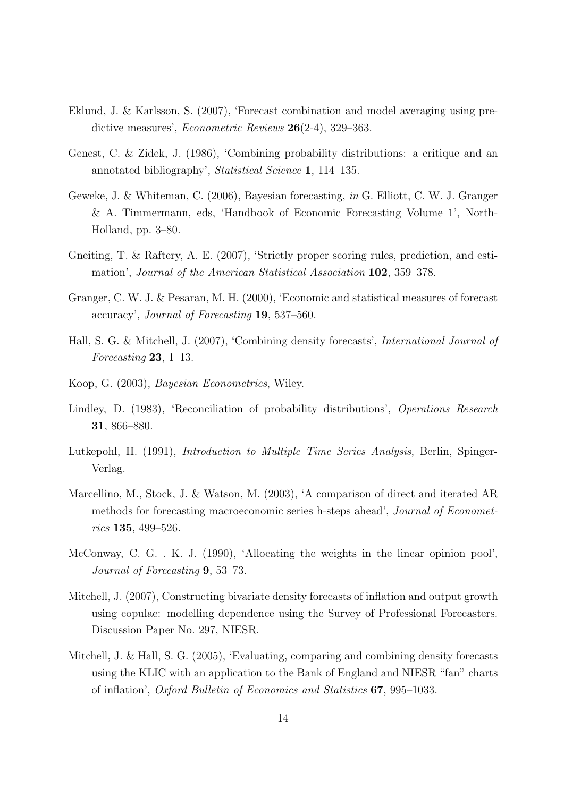- Eklund, J. & Karlsson, S. (2007), 'Forecast combination and model averaging using predictive measures', *Econometric Reviews* 26(2-4), 329–363.
- Genest, C. & Zidek, J. (1986), 'Combining probability distributions: a critique and an annotated bibliography', *Statistical Science* 1, 114–135.
- Geweke, J. & Whiteman, C. (2006), Bayesian forecasting, *in* G. Elliott, C. W. J. Granger & A. Timmermann, eds, 'Handbook of Economic Forecasting Volume 1', North-Holland, pp. 3–80.
- Gneiting, T. & Raftery, A. E. (2007), 'Strictly proper scoring rules, prediction, and estimation', *Journal of the American Statistical Association* 102, 359–378.
- Granger, C. W. J. & Pesaran, M. H. (2000), 'Economic and statistical measures of forecast accuracy', *Journal of Forecasting* 19, 537–560.
- Hall, S. G. & Mitchell, J. (2007), 'Combining density forecasts', *International Journal of Forecasting* 23, 1–13.
- Koop, G. (2003), *Bayesian Econometrics*, Wiley.
- Lindley, D. (1983), 'Reconciliation of probability distributions', *Operations Research* 31, 866–880.
- Lutkepohl, H. (1991), *Introduction to Multiple Time Series Analysis*, Berlin, Spinger-Verlag.
- Marcellino, M., Stock, J. & Watson, M. (2003), 'A comparison of direct and iterated AR methods for forecasting macroeconomic series h-steps ahead', *Journal of Econometrics* 135, 499–526.
- McConway, C. G. . K. J. (1990), 'Allocating the weights in the linear opinion pool', *Journal of Forecasting* 9, 53–73.
- Mitchell, J. (2007), Constructing bivariate density forecasts of inflation and output growth using copulae: modelling dependence using the Survey of Professional Forecasters. Discussion Paper No. 297, NIESR.
- Mitchell, J. & Hall, S. G. (2005), 'Evaluating, comparing and combining density forecasts using the KLIC with an application to the Bank of England and NIESR "fan" charts of inflation', *Oxford Bulletin of Economics and Statistics* 67, 995–1033.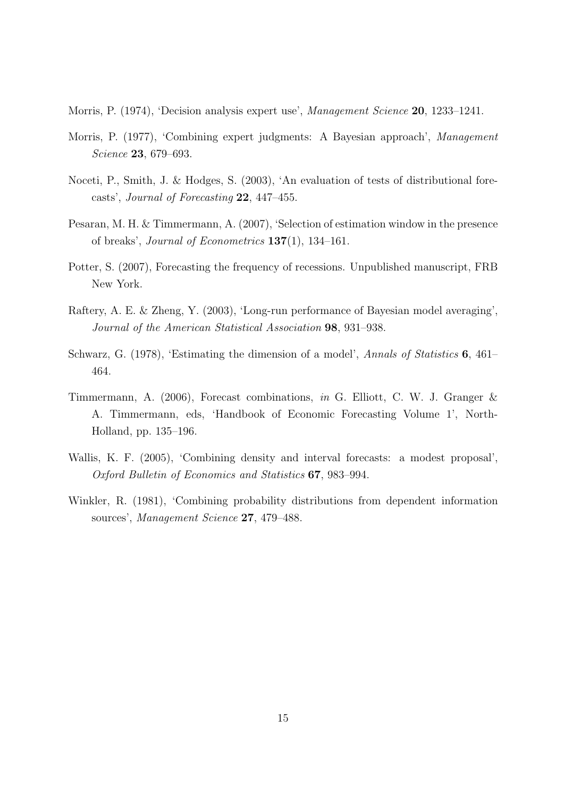Morris, P. (1974), 'Decision analysis expert use', *Management Science* 20, 1233–1241.

- Morris, P. (1977), 'Combining expert judgments: A Bayesian approach', *Management Science* 23, 679–693.
- Noceti, P., Smith, J. & Hodges, S. (2003), 'An evaluation of tests of distributional forecasts', *Journal of Forecasting* 22, 447–455.
- Pesaran, M. H. & Timmermann, A. (2007), 'Selection of estimation window in the presence of breaks', *Journal of Econometrics* 137(1), 134–161.
- Potter, S. (2007), Forecasting the frequency of recessions. Unpublished manuscript, FRB New York.
- Raftery, A. E. & Zheng, Y. (2003), 'Long-run performance of Bayesian model averaging', *Journal of the American Statistical Association* 98, 931–938.
- Schwarz, G. (1978), 'Estimating the dimension of a model', *Annals of Statistics* 6, 461– 464.
- Timmermann, A. (2006), Forecast combinations, *in* G. Elliott, C. W. J. Granger & A. Timmermann, eds, 'Handbook of Economic Forecasting Volume 1', North-Holland, pp. 135–196.
- Wallis, K. F. (2005), 'Combining density and interval forecasts: a modest proposal', *Oxford Bulletin of Economics and Statistics* 67, 983–994.
- Winkler, R. (1981), 'Combining probability distributions from dependent information sources', *Management Science* 27, 479–488.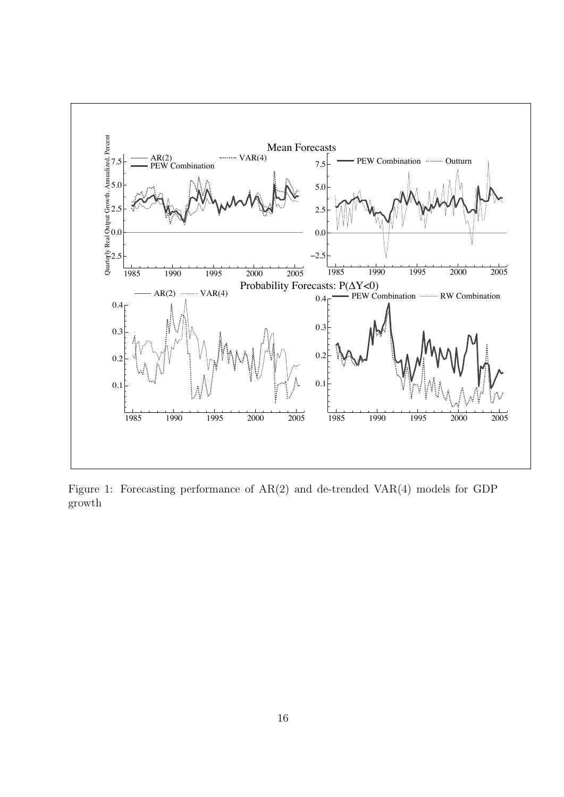

Figure 1: Forecasting performance of AR(2) and de-trended VAR(4) models for GDP growth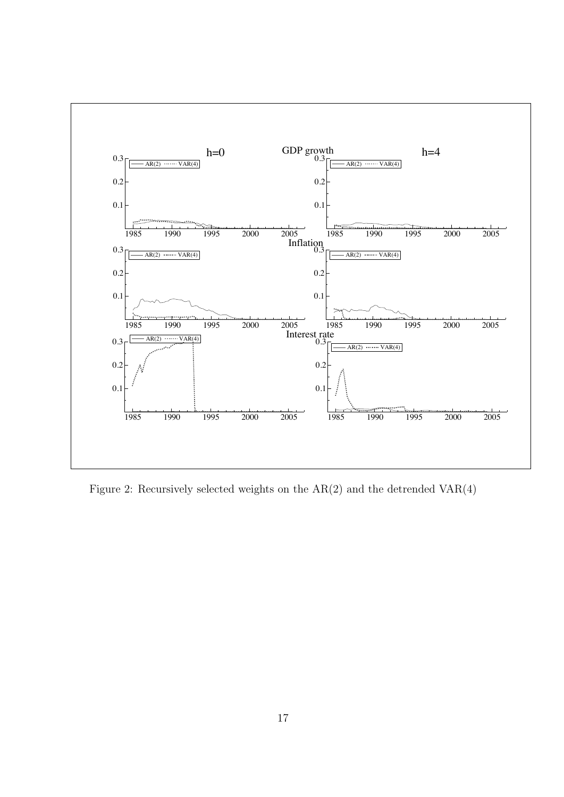

Figure 2: Recursively selected weights on the AR(2) and the detrended VAR(4)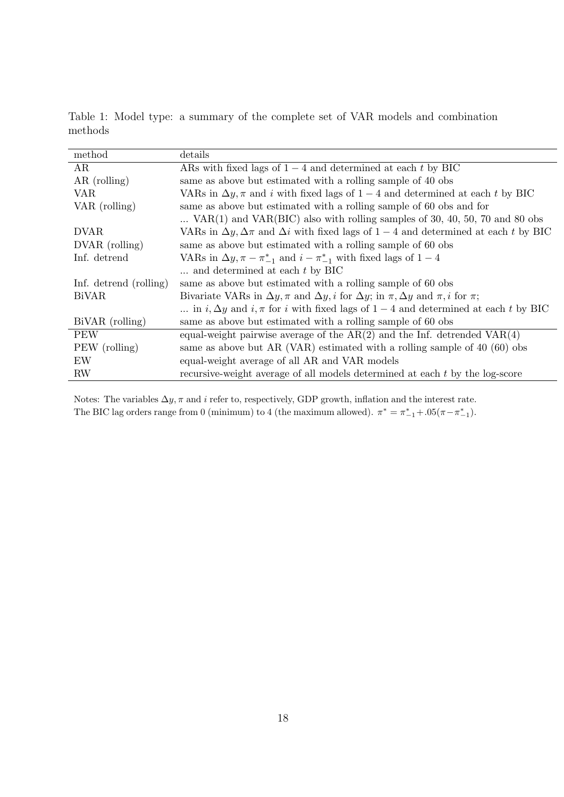Table 1: Model type: a summary of the complete set of VAR models and combination methods

| method                 | details                                                                                                                  |
|------------------------|--------------------------------------------------------------------------------------------------------------------------|
| AR                     | ARs with fixed lags of $1-4$ and determined at each t by BIC                                                             |
| $AR$ (rolling)         | same as above but estimated with a rolling sample of 40 obs                                                              |
| VAR                    | VARs in $\Delta y$ , $\pi$ and <i>i</i> with fixed lags of $1-4$ and determined at each <i>t</i> by BIC                  |
| VAR (rolling)          | same as above but estimated with a rolling sample of 60 obs and for                                                      |
|                        | $\ldots$ VAR(1) and VAR(BIC) also with rolling samples of 30, 40, 50, 70 and 80 obs                                      |
| <b>DVAR</b>            | VARs in $\Delta y$ , $\Delta \pi$ and $\Delta i$ with fixed lags of 1 – 4 and determined at each t by BIC                |
| DVAR (rolling)         | same as above but estimated with a rolling sample of 60 obs                                                              |
| Inf. detrend           | VARs in $\Delta y$ , $\pi - \pi_{-1}^*$ and $i - \pi_{-1}^*$ with fixed lags of $1 - 4$                                  |
|                        | $\ldots$ and determined at each t by BIC                                                                                 |
| Inf. detrend (rolling) | same as above but estimated with a rolling sample of 60 obs                                                              |
| <b>BiVAR</b>           | Bivariate VARs in $\Delta y$ , $\pi$ and $\Delta y$ , i for $\Delta y$ ; in $\pi$ , $\Delta y$ and $\pi$ , i for $\pi$ ; |
|                        | in $i, \Delta y$ and $i, \pi$ for i with fixed lags of $1-4$ and determined at each t by BIC                             |
| BiVAR (rolling)        | same as above but estimated with a rolling sample of 60 obs                                                              |
| <b>PEW</b>             | equal-weight pairwise average of the $AR(2)$ and the Inf. detrended $VAR(4)$                                             |
| PEW (rolling)          | same as above but AR (VAR) estimated with a rolling sample of $40$ (60) obs                                              |
| EW                     | equal-weight average of all AR and VAR models                                                                            |
| RW                     | recursive-weight average of all models determined at each $t$ by the log-score                                           |

Notes: The variables  $\Delta y$ ,  $\pi$  and i refer to, respectively, GDP growth, inflation and the interest rate. The BIC lag orders range from 0 (minimum) to 4 (the maximum allowed).  $\pi^* = \pi_{-1}^* + .05(\pi - \pi_{-1}^*)$ .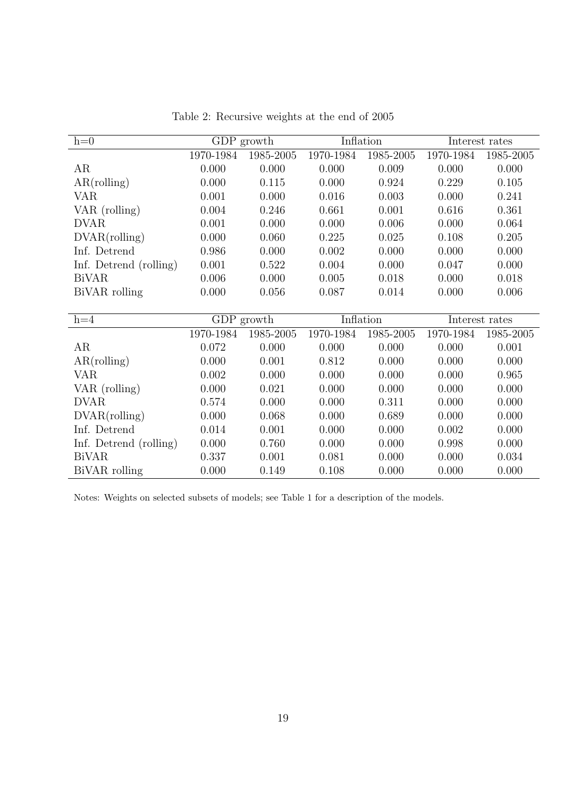| $h=0$                  |           | GDP growth | Inflation |           |           | Interest rates |
|------------------------|-----------|------------|-----------|-----------|-----------|----------------|
|                        | 1970-1984 | 1985-2005  | 1970-1984 | 1985-2005 | 1970-1984 | 1985-2005      |
| AR                     | 0.000     | 0.000      | 0.000     | 0.009     | 0.000     | 0.000          |
| AR(rolling)            | 0.000     | 0.115      | 0.000     | 0.924     | 0.229     | 0.105          |
| VAR                    | 0.001     | 0.000      | 0.016     | 0.003     | 0.000     | 0.241          |
| VAR (rolling)          | 0.004     | 0.246      | 0.661     | 0.001     | 0.616     | 0.361          |
| <b>DVAR</b>            | 0.001     | 0.000      | 0.000     | 0.006     | 0.000     | 0.064          |
| DVAR(rolling)          | 0.000     | 0.060      | 0.225     | 0.025     | 0.108     | 0.205          |
| Inf. Detrend           | 0.986     | 0.000      | 0.002     | 0.000     | 0.000     | 0.000          |
| Inf. Detrend (rolling) | 0.001     | 0.522      | 0.004     | 0.000     | 0.047     | 0.000          |
| <b>BiVAR</b>           | 0.006     | 0.000      | 0.005     | 0.018     | 0.000     | 0.018          |
| BiVAR rolling          | 0.000     | 0.056      | 0.087     | 0.014     | 0.000     | 0.006          |
|                        |           |            |           |           |           |                |
| $h=4$                  |           | GDP growth | Inflation |           |           | Interest rates |
|                        | 1970-1984 | 1985-2005  | 1970-1984 | 1985-2005 | 1970-1984 | 1985-2005      |
| AR                     | 0.072     | 0.000      | 0.000     | 0.000     | 0.000     | 0.001          |
| AR(rolling)            | 0.000     | 0.001      | 0.812     | 0.000     | 0.000     | 0.000          |
| <b>VAR</b>             | 0.002     | 0.000      | 0.000     | 0.000     | 0.000     | 0.965          |
| VAR (rolling)          | 0.000     | 0.021      | 0.000     | 0.000     | 0.000     | 0.000          |
| <b>DVAR</b>            | 0.574     | 0.000      | 0.000     | 0.311     | 0.000     | 0.000          |
| DVAR(rolling)          | 0.000     | 0.068      | 0.000     | 0.689     | 0.000     | 0.000          |
| Inf. Detrend           | 0.014     | 0.001      | 0.000     | 0.000     | 0.002     | 0.000          |
| Inf. Detrend (rolling) | 0.000     | 0.760      | 0.000     | 0.000     | 0.998     | 0.000          |
| <b>BiVAR</b>           | 0.337     |            |           | 0.000     | 0.000     | 0.034          |
|                        |           | 0.001      | 0.081     |           |           |                |

Table 2: Recursive weights at the end of 2005

Notes: Weights on selected subsets of models; see Table 1 for a description of the models.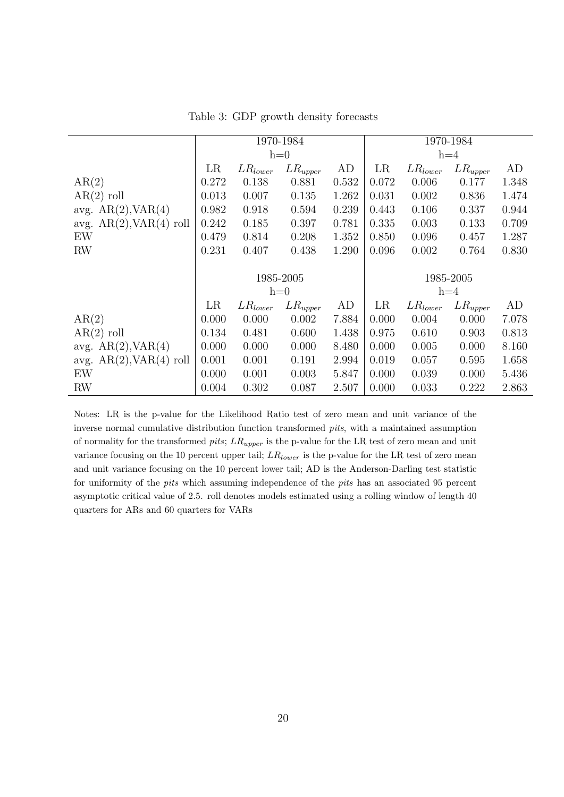|                              | 1970-1984 |              |              | 1970-1984 |       |              |              |       |
|------------------------------|-----------|--------------|--------------|-----------|-------|--------------|--------------|-------|
|                              |           |              | $h=0$        |           |       |              | $h=4$        |       |
|                              | LR        | $LR_{lower}$ | $LR_{upper}$ | AD        | LR    | $LR_{lower}$ | $LR_{upper}$ | AD    |
| AR(2)                        | 0.272     | 0.138        | 0.881        | 0.532     | 0.072 | 0.006        | 0.177        | 1.348 |
| $AR(2)$ roll                 | 0.013     | 0.007        | 0.135        | 1.262     | 0.031 | 0.002        | 0.836        | 1.474 |
| avg. $AR(2)$ , $VAR(4)$      | 0.982     | 0.918        | 0.594        | 0.239     | 0.443 | 0.106        | 0.337        | 0.944 |
| avg. $AR(2)$ , $VAR(4)$ roll | 0.242     | 0.185        | 0.397        | 0.781     | 0.335 | 0.003        | 0.133        | 0.709 |
| EW                           | 0.479     | 0.814        | 0.208        | 1.352     | 0.850 | 0.096        | 0.457        | 1.287 |
| <b>RW</b>                    | 0.231     | 0.407        | 0.438        | 1.290     | 0.096 | 0.002        | 0.764        | 0.830 |
|                              |           |              |              |           |       |              |              |       |
|                              |           |              | 1985-2005    |           |       |              | 1985-2005    |       |
|                              |           |              | $h=0$        |           |       |              | $h=4$        |       |
|                              | LR        | $LR_{lower}$ | $LR_{upper}$ | AD        | LR    | $LR_{lower}$ | $LR_{upper}$ | AD    |
| AR(2)                        | 0.000     | 0.000        | 0.002        | 7.884     | 0.000 | 0.004        | 0.000        | 7.078 |
| $AR(2)$ roll                 | 0.134     | 0.481        | 0.600        | 1.438     | 0.975 | 0.610        | 0.903        | 0.813 |
| avg. $AR(2)$ , $VAR(4)$      | 0.000     | 0.000        | 0.000        | 8.480     | 0.000 | 0.005        | 0.000        | 8.160 |
| avg. $AR(2), VAR(4)$ roll    | 0.001     | 0.001        | 0.191        | 2.994     | 0.019 | 0.057        | 0.595        | 1.658 |
| EW                           | 0.000     | 0.001        | 0.003        | 5.847     | 0.000 | 0.039        | 0.000        | 5.436 |
| <b>RW</b>                    | 0.004     | 0.302        | 0.087        | 2.507     | 0.000 | 0.033        | 0.222        | 2.863 |

Table 3: GDP growth density forecasts

Notes: LR is the p-value for the Likelihood Ratio test of zero mean and unit variance of the inverse normal cumulative distribution function transformed *pits*, with a maintained assumption of normality for the transformed *pits*; LR*upper* is the p-value for the LR test of zero mean and unit variance focusing on the 10 percent upper tail; LR*lower* is the p-value for the LR test of zero mean and unit variance focusing on the 10 percent lower tail; AD is the Anderson-Darling test statistic for uniformity of the *pits* which assuming independence of the *pits* has an associated 95 percent asymptotic critical value of 2.5. roll denotes models estimated using a rolling window of length 40 quarters for ARs and 60 quarters for VARs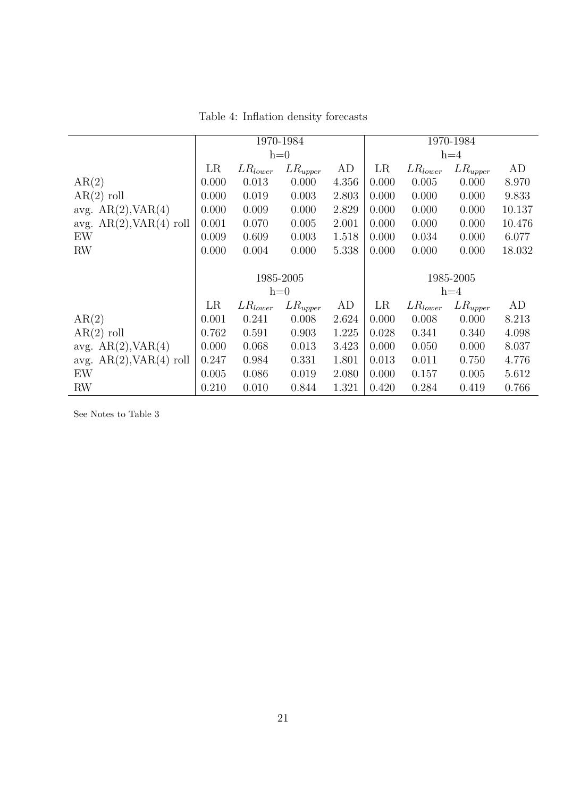|                              | 1970-1984 |                    |              | 1970-1984 |         |              |              |        |
|------------------------------|-----------|--------------------|--------------|-----------|---------|--------------|--------------|--------|
|                              |           |                    | $h=0$        |           | $h=4$   |              |              |        |
|                              | LR        | $LR_{lower}$       | $LR_{upper}$ | AD        | $_{LR}$ | $LR_{lower}$ | $LR_{upper}$ | AD     |
| AR(2)                        | 0.000     | 0.013              | 0.000        | 4.356     | 0.000   | 0.005        | 0.000        | 8.970  |
| $AR(2)$ roll                 | 0.000     | 0.019              | 0.003        | 2.803     | 0.000   | 0.000        | 0.000        | 9.833  |
| avg. $AR(2), VAR(4)$         | 0.000     | 0.009              | 0.000        | 2.829     | 0.000   | 0.000        | 0.000        | 10.137 |
| avg. $AR(2)$ , $VAR(4)$ roll | 0.001     | 0.070              | 0.005        | 2.001     | 0.000   | 0.000        | 0.000        | 10.476 |
| EW                           | 0.009     | 0.609              | 0.003        | 1.518     | 0.000   | 0.034        | 0.000        | 6.077  |
| RW                           | 0.000     | 0.004              | 0.000        | 5.338     | 0.000   | 0.000        | 0.000        | 18.032 |
|                              |           |                    |              |           |         |              |              |        |
|                              |           |                    | 1985-2005    |           |         |              | 1985-2005    |        |
|                              |           |                    | $h=0$        |           |         |              | $h=4$        |        |
|                              | LR        | ${\it LR}_{lower}$ | $LR_{upper}$ | AD        | LR      | $LR_{lower}$ | $LR_{upper}$ | AD     |
| AR(2)                        | 0.001     | 0.241              | 0.008        | 2.624     | 0.000   | 0.008        | 0.000        | 8.213  |
| $AR(2)$ roll                 | 0.762     | 0.591              | 0.903        | 1.225     | 0.028   | 0.341        | 0.340        | 4.098  |
| avg. $AR(2), VAR(4)$         | 0.000     | 0.068              | 0.013        | 3.423     | 0.000   | 0.050        | 0.000        | 8.037  |
| avg. $AR(2), VAR(4)$ roll    | 0.247     | 0.984              | 0.331        | 1.801     | 0.013   | 0.011        | 0.750        | 4.776  |
| EW                           | 0.005     | 0.086              | 0.019        | 2.080     | 0.000   | 0.157        | 0.005        | 5.612  |
| <b>RW</b>                    | 0.210     | 0.010              | 0.844        | 1.321     | 0.420   | 0.284        | 0.419        | 0.766  |

Table 4: Inflation density forecasts

See Notes to Table 3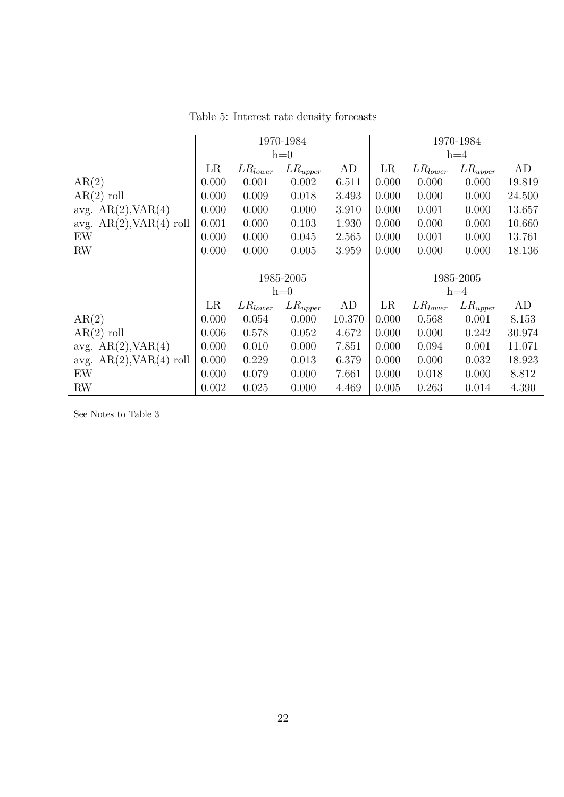|                              | 1970-1984 |                    |              |        | 1970-1984 |              |              |        |
|------------------------------|-----------|--------------------|--------------|--------|-----------|--------------|--------------|--------|
|                              |           |                    | $h=0$        |        | $h=4$     |              |              |        |
|                              | LR        | $LR_{lower}$       | $LR_{upper}$ | AD     | LR        | $LR_{lower}$ | $LR_{upper}$ | AD     |
| AR(2)                        | 0.000     | 0.001              | 0.002        | 6.511  | 0.000     | 0.000        | 0.000        | 19.819 |
| $AR(2)$ roll                 | 0.000     | 0.009              | 0.018        | 3.493  | 0.000     | 0.000        | 0.000        | 24.500 |
| avg. $AR(2), VAR(4)$         | 0.000     | 0.000              | 0.000        | 3.910  | 0.000     | 0.001        | 0.000        | 13.657 |
| avg. $AR(2)$ , $VAR(4)$ roll | 0.001     | 0.000              | 0.103        | 1.930  | 0.000     | 0.000        | 0.000        | 10.660 |
| EW                           | 0.000     | 0.000              | 0.045        | 2.565  | 0.000     | 0.001        | 0.000        | 13.761 |
| RW                           | 0.000     | 0.000              | 0.005        | 3.959  | 0.000     | 0.000        | 0.000        | 18.136 |
|                              |           |                    |              |        |           |              |              |        |
|                              |           |                    | 1985-2005    |        |           |              | 1985-2005    |        |
|                              |           |                    | $h=0$        |        |           |              | $h=4$        |        |
|                              | LR        | ${\it LR}_{lower}$ | $LR_{upper}$ | AD     | LR        | $LR_{lower}$ | $LR_{upper}$ | AD     |
| AR(2)                        | 0.000     | 0.054              | 0.000        | 10.370 | 0.000     | 0.568        | 0.001        | 8.153  |
| $AR(2)$ roll                 | 0.006     | 0.578              | 0.052        | 4.672  | 0.000     | 0.000        | 0.242        | 30.974 |
| avg. $AR(2)$ , $VAR(4)$      | 0.000     | 0.010              | 0.000        | 7.851  | 0.000     | 0.094        | 0.001        | 11.071 |
| avg. $AR(2)$ , $VAR(4)$ roll | 0.000     | 0.229              | 0.013        | 6.379  | 0.000     | 0.000        | 0.032        | 18.923 |
| EW                           | 0.000     | 0.079              | 0.000        | 7.661  | 0.000     | 0.018        | 0.000        | 8.812  |
| RW                           | 0.002     | 0.025              | 0.000        | 4.469  | 0.005     | 0.263        | 0.014        | 4.390  |

Table 5: Interest rate density forecasts

See Notes to Table 3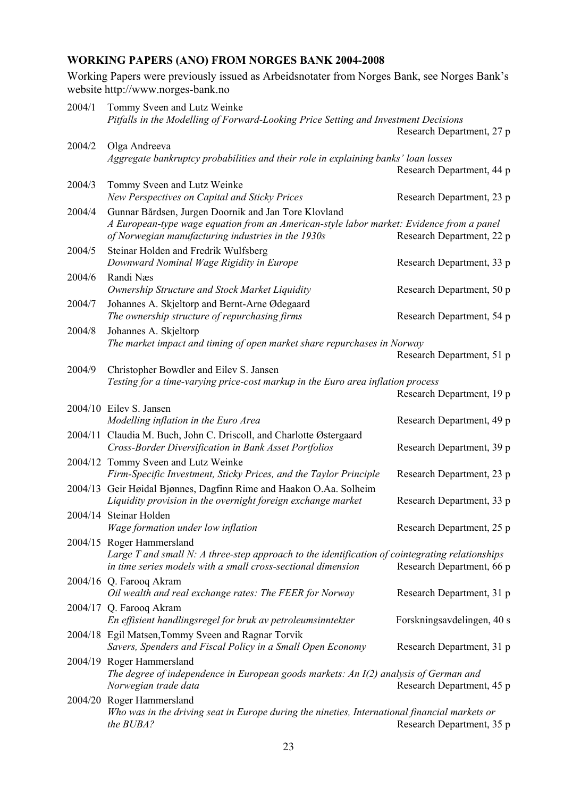# **WORKING PAPERS (ANO) FROM NORGES BANK 2004-2008**

Working Papers were previously issued as Arbeidsnotater from Norges Bank, see Norges Bank's website http://www.norges-bank.no

| 2004/1 | Tommy Sveen and Lutz Weinke                                                                                                                    |                            |
|--------|------------------------------------------------------------------------------------------------------------------------------------------------|----------------------------|
|        | Pitfalls in the Modelling of Forward-Looking Price Setting and Investment Decisions                                                            |                            |
|        |                                                                                                                                                | Research Department, 27 p  |
| 2004/2 | Olga Andreeva<br>Aggregate bankruptcy probabilities and their role in explaining banks' loan losses                                            |                            |
|        |                                                                                                                                                | Research Department, 44 p  |
| 2004/3 | Tommy Sveen and Lutz Weinke                                                                                                                    |                            |
|        | New Perspectives on Capital and Sticky Prices                                                                                                  | Research Department, 23 p  |
| 2004/4 | Gunnar Bårdsen, Jurgen Doornik and Jan Tore Klovland                                                                                           |                            |
|        | A European-type wage equation from an American-style labor market: Evidence from a panel<br>of Norwegian manufacturing industries in the 1930s | Research Department, 22 p  |
| 2004/5 | Steinar Holden and Fredrik Wulfsberg                                                                                                           |                            |
|        | Downward Nominal Wage Rigidity in Europe                                                                                                       | Research Department, 33 p  |
| 2004/6 | Randi Næs                                                                                                                                      |                            |
|        | Ownership Structure and Stock Market Liquidity                                                                                                 | Research Department, 50 p  |
| 2004/7 | Johannes A. Skjeltorp and Bernt-Arne Ødegaard                                                                                                  |                            |
|        | The ownership structure of repurchasing firms                                                                                                  | Research Department, 54 p  |
| 2004/8 | Johannes A. Skjeltorp                                                                                                                          |                            |
|        | The market impact and timing of open market share repurchases in Norway                                                                        |                            |
|        |                                                                                                                                                | Research Department, 51 p  |
| 2004/9 | Christopher Bowdler and Eilev S. Jansen                                                                                                        |                            |
|        | Testing for a time-varying price-cost markup in the Euro area inflation process                                                                | Research Department, 19 p  |
|        |                                                                                                                                                |                            |
|        | 2004/10 Eilev S. Jansen<br>Modelling inflation in the Euro Area                                                                                | Research Department, 49 p  |
|        | 2004/11 Claudia M. Buch, John C. Driscoll, and Charlotte Østergaard                                                                            |                            |
|        | Cross-Border Diversification in Bank Asset Portfolios                                                                                          | Research Department, 39 p  |
|        | 2004/12 Tommy Sveen and Lutz Weinke                                                                                                            |                            |
|        | Firm-Specific Investment, Sticky Prices, and the Taylor Principle                                                                              | Research Department, 23 p  |
|        | 2004/13 Geir Høidal Bjønnes, Dagfinn Rime and Haakon O.Aa. Solheim                                                                             |                            |
|        | Liquidity provision in the overnight foreign exchange market                                                                                   | Research Department, 33 p  |
|        | 2004/14 Steinar Holden                                                                                                                         |                            |
|        | Wage formation under low inflation                                                                                                             | Research Department, 25 p  |
|        | 2004/15 Roger Hammersland                                                                                                                      |                            |
|        | Large $T$ and small N: A three-step approach to the identification of cointegrating relationships                                              |                            |
|        | in time series models with a small cross-sectional dimension                                                                                   | Research Department, 66 p  |
|        | 2004/16 Q. Farooq Akram                                                                                                                        |                            |
|        | Oil wealth and real exchange rates: The FEER for Norway                                                                                        | Research Department, 31 p  |
|        | 2004/17 Q. Farooq Akram                                                                                                                        |                            |
|        | En effisient handlingsregel for bruk av petroleumsinntekter                                                                                    | Forskningsavdelingen, 40 s |
|        | 2004/18 Egil Matsen, Tommy Sveen and Ragnar Torvik                                                                                             |                            |
|        | Savers, Spenders and Fiscal Policy in a Small Open Economy                                                                                     | Research Department, 31 p  |
|        | 2004/19 Roger Hammersland                                                                                                                      |                            |
|        | The degree of independence in European goods markets: An I(2) analysis of German and                                                           |                            |
|        | Norwegian trade data                                                                                                                           | Research Department, 45 p  |
|        | 2004/20 Roger Hammersland                                                                                                                      |                            |
|        | Who was in the driving seat in Europe during the nineties, International financial markets or<br>the BUBA?                                     | Research Department, 35 p  |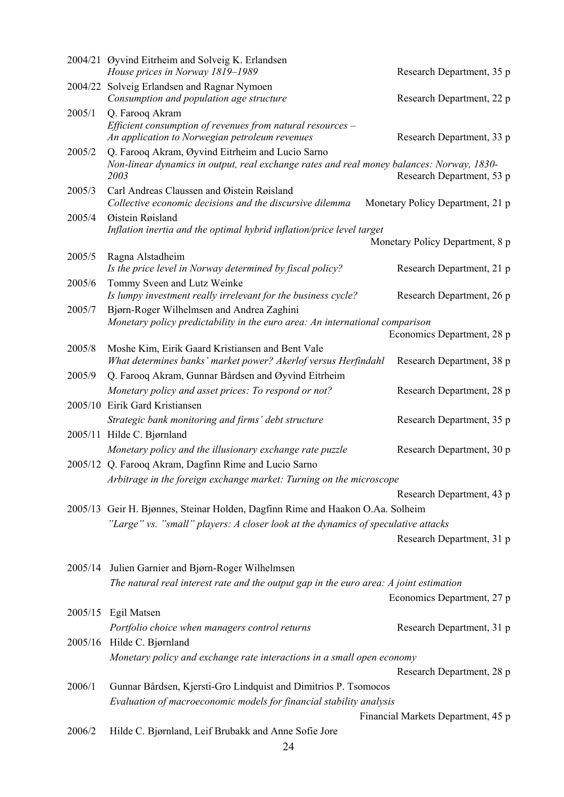|         | 2004/21 Øyvind Eitrheim and Solveig K. Erlandsen<br>House prices in Norway 1819-1989                                                          | Research Department, 35 p          |
|---------|-----------------------------------------------------------------------------------------------------------------------------------------------|------------------------------------|
| 2004/22 | Solveig Erlandsen and Ragnar Nymoen<br>Consumption and population age structure                                                               | Research Department, 22 p          |
| 2005/1  | Q. Farooq Akram<br>Efficient consumption of revenues from natural resources $-$<br>An application to Norwegian petroleum revenues             | Research Department, 33 p          |
| 2005/2  | Q. Farooq Akram, Øyvind Eitrheim and Lucio Sarno<br>Non-linear dynamics in output, real exchange rates and real money balances: Norway, 1830- |                                    |
| 2005/3  | 2003<br>Carl Andreas Claussen and Øistein Røisland                                                                                            | Research Department, 53 p          |
|         | Collective economic decisions and the discursive dilemma                                                                                      | Monetary Policy Department, 21 p   |
| 2005/4  | Øistein Røisland<br>Inflation inertia and the optimal hybrid inflation/price level target                                                     | Monetary Policy Department, 8 p    |
| 2005/5  | Ragna Alstadheim                                                                                                                              |                                    |
|         | Is the price level in Norway determined by fiscal policy?                                                                                     | Research Department, 21 p          |
| 2005/6  | Tommy Sveen and Lutz Weinke<br>Is lumpy investment really irrelevant for the business cycle?                                                  | Research Department, 26 p          |
| 2005/7  | Bjørn-Roger Wilhelmsen and Andrea Zaghini                                                                                                     |                                    |
|         | Monetary policy predictability in the euro area: An international comparison                                                                  | Economics Department, 28 p         |
| 2005/8  | Moshe Kim, Eirik Gaard Kristiansen and Bent Vale                                                                                              |                                    |
|         | What determines banks' market power? Akerlof versus Herfindahl                                                                                | Research Department, 38 p          |
| 2005/9  | Q. Farooq Akram, Gunnar Bårdsen and Øyvind Eitrheim                                                                                           |                                    |
|         | Monetary policy and asset prices: To respond or not?                                                                                          | Research Department, 28 p          |
|         | 2005/10 Eirik Gard Kristiansen                                                                                                                |                                    |
|         | Strategic bank monitoring and firms' debt structure<br>2005/11 Hilde C. Bjørnland                                                             | Research Department, 35 p          |
|         | Monetary policy and the illusionary exchange rate puzzle                                                                                      | Research Department, 30 p          |
|         | 2005/12 Q. Farooq Akram, Dagfinn Rime and Lucio Sarno                                                                                         |                                    |
|         | Arbitrage in the foreign exchange market: Turning on the microscope                                                                           |                                    |
|         |                                                                                                                                               | Research Department, 43 p          |
|         | 2005/13 Geir H. Bjønnes, Steinar Holden, Dagfinn Rime and Haakon O.Aa. Solheim                                                                |                                    |
|         | "Large" vs. "small" players: A closer look at the dynamics of speculative attacks                                                             |                                    |
|         |                                                                                                                                               | Research Department, 31 p          |
| 2005/14 | Julien Garnier and Bjørn-Roger Wilhelmsen                                                                                                     |                                    |
|         | The natural real interest rate and the output gap in the euro area: A joint estimation                                                        |                                    |
|         |                                                                                                                                               | Economics Department, 27 p         |
|         | 2005/15 Egil Matsen                                                                                                                           |                                    |
|         | Portfolio choice when managers control returns                                                                                                | Research Department, 31 p          |
|         | 2005/16 Hilde C. Bjørnland                                                                                                                    |                                    |
|         | Monetary policy and exchange rate interactions in a small open economy                                                                        | Research Department, 28 p          |
| 2006/1  | Gunnar Bårdsen, Kjersti-Gro Lindquist and Dimitrios P. Tsomocos                                                                               |                                    |
|         | Evaluation of macroeconomic models for financial stability analysis                                                                           |                                    |
|         |                                                                                                                                               | Financial Markets Department, 45 p |
| 2006/2  | Hilde C. Bjørnland, Leif Brubakk and Anne Sofie Jore                                                                                          |                                    |
|         | 24                                                                                                                                            |                                    |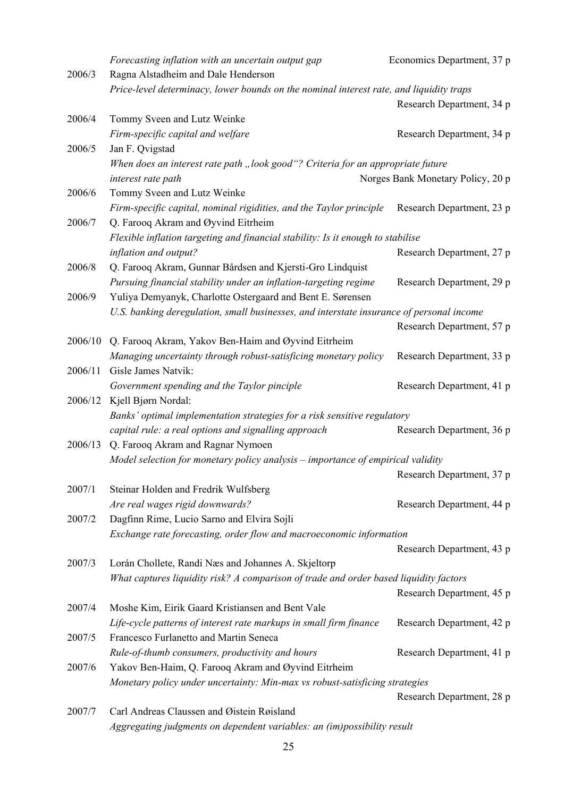|         | Forecasting inflation with an uncertain output gap                                       | Economics Department, 37 p        |
|---------|------------------------------------------------------------------------------------------|-----------------------------------|
| 2006/3  | Ragna Alstadheim and Dale Henderson                                                      |                                   |
|         | Price-level determinacy, lower bounds on the nominal interest rate, and liquidity traps  |                                   |
|         |                                                                                          | Research Department, 34 p         |
| 2006/4  | Tommy Sveen and Lutz Weinke                                                              |                                   |
|         | Firm-specific capital and welfare                                                        | Research Department, 34 p         |
| 2006/5  | Jan F. Qvigstad                                                                          |                                   |
|         | When does an interest rate path "look good"? Criteria for an appropriate future          |                                   |
|         | interest rate path                                                                       | Norges Bank Monetary Policy, 20 p |
| 2006/6  | Tommy Sveen and Lutz Weinke                                                              |                                   |
|         | Firm-specific capital, nominal rigidities, and the Taylor principle                      | Research Department, 23 p         |
| 2006/7  | Q. Farooq Akram and Øyvind Eitrheim                                                      |                                   |
|         | Flexible inflation targeting and financial stability: Is it enough to stabilise          |                                   |
|         | inflation and output?                                                                    | Research Department, 27 p         |
| 2006/8  | Q. Farooq Akram, Gunnar Bårdsen and Kjersti-Gro Lindquist                                |                                   |
|         | Pursuing financial stability under an inflation-targeting regime                         | Research Department, 29 p         |
| 2006/9  | Yuliya Demyanyk, Charlotte Ostergaard and Bent E. Sørensen                               |                                   |
|         | U.S. banking deregulation, small businesses, and interstate insurance of personal income |                                   |
|         |                                                                                          | Research Department, 57 p         |
| 2006/10 | Q. Farooq Akram, Yakov Ben-Haim and Øyvind Eitrheim                                      |                                   |
|         | Managing uncertainty through robust-satisficing monetary policy                          | Research Department, 33 p         |
| 2006/11 | Gisle James Natvik:                                                                      |                                   |
|         | Government spending and the Taylor pinciple                                              | Research Department, 41 p         |
| 2006/12 | Kjell Bjørn Nordal:                                                                      |                                   |
|         | Banks' optimal implementation strategies for a risk sensitive regulatory                 |                                   |
|         | capital rule: a real options and signalling approach                                     | Research Department, 36 p         |
| 2006/13 | Q. Farooq Akram and Ragnar Nymoen                                                        |                                   |
|         | Model selection for monetary policy analysis - importance of empirical validity          |                                   |
|         |                                                                                          | Research Department, 37 p         |
| 2007/1  | Steinar Holden and Fredrik Wulfsberg                                                     |                                   |
|         | Are real wages rigid downwards?                                                          | Research Department, 44 p         |
| 2007/2  | Dagfinn Rime, Lucio Sarno and Elvira Sojli                                               |                                   |
|         | Exchange rate forecasting, order flow and macroeconomic information                      |                                   |
|         |                                                                                          | Research Department, 43 p         |
| 2007/3  | Lorán Chollete, Randi Næs and Johannes A. Skjeltorp                                      |                                   |
|         | What captures liquidity risk? A comparison of trade and order based liquidity factors    |                                   |
|         |                                                                                          | Research Department, 45 p         |
| 2007/4  | Moshe Kim, Eirik Gaard Kristiansen and Bent Vale                                         |                                   |
|         | Life-cycle patterns of interest rate markups in small firm finance                       | Research Department, 42 p         |
| 2007/5  | Francesco Furlanetto and Martin Seneca                                                   |                                   |
|         | Rule-of-thumb consumers, productivity and hours                                          | Research Department, 41 p         |
| 2007/6  | Yakov Ben-Haim, Q. Farooq Akram and Øyvind Eitrheim                                      |                                   |
|         | Monetary policy under uncertainty: Min-max vs robust-satisficing strategies              |                                   |
|         |                                                                                          | Research Department, 28 p         |
| 2007/7  | Carl Andreas Claussen and Øistein Røisland                                               |                                   |
|         | Aggregating judgments on dependent variables: an (im)possibility result                  |                                   |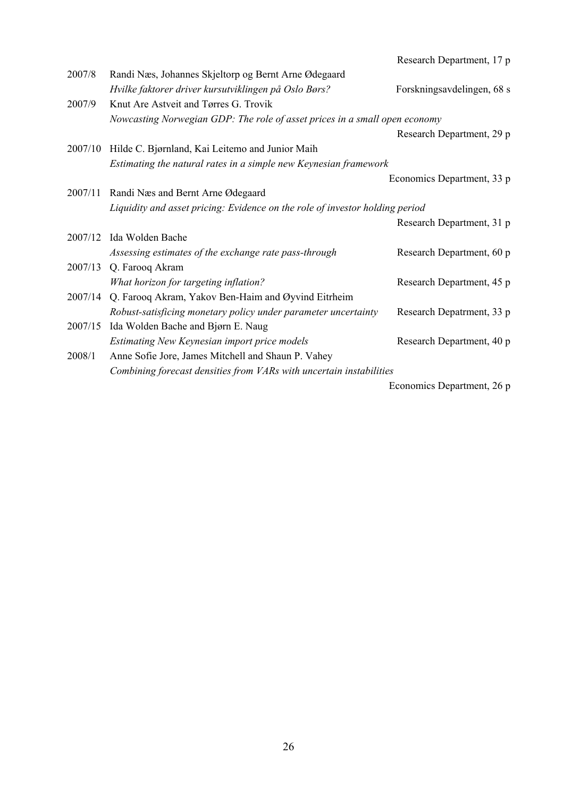|         |                                                                              | Research Department, 17 p  |
|---------|------------------------------------------------------------------------------|----------------------------|
| 2007/8  | Randi Næs, Johannes Skjeltorp og Bernt Arne Ødegaard                         |                            |
|         | Hvilke faktorer driver kursutviklingen på Oslo Børs?                         | Forskningsavdelingen, 68 s |
| 2007/9  | Knut Are Astveit and Tørres G. Trovik                                        |                            |
|         | Nowcasting Norwegian GDP: The role of asset prices in a small open economy   |                            |
|         |                                                                              | Research Department, 29 p  |
| 2007/10 | Hilde C. Bjørnland, Kai Leitemo and Junior Maih                              |                            |
|         | Estimating the natural rates in a simple new Keynesian framework             |                            |
|         |                                                                              | Economics Department, 33 p |
| 2007/11 | Randi Næs and Bernt Arne Ødegaard                                            |                            |
|         | Liquidity and asset pricing: Evidence on the role of investor holding period |                            |
|         |                                                                              | Research Department, 31 p  |
| 2007/12 | Ida Wolden Bache                                                             |                            |
|         | Assessing estimates of the exchange rate pass-through                        | Research Department, 60 p  |
|         | 2007/13 Q. Farooq Akram                                                      |                            |
|         | What horizon for targeting inflation?                                        | Research Department, 45 p  |
| 2007/14 | Q. Farooq Akram, Yakov Ben-Haim and Øyvind Eitrheim                          |                            |
|         | Robust-satisficing monetary policy under parameter uncertainty               | Research Depatrment, 33 p  |
| 2007/15 | Ida Wolden Bache and Bjørn E. Naug                                           |                            |
|         | Estimating New Keynesian import price models                                 | Research Department, 40 p  |
| 2008/1  | Anne Sofie Jore, James Mitchell and Shaun P. Vahey                           |                            |
|         | Combining forecast densities from VARs with uncertain instabilities          |                            |
|         |                                                                              | Economics Department, 26 p |